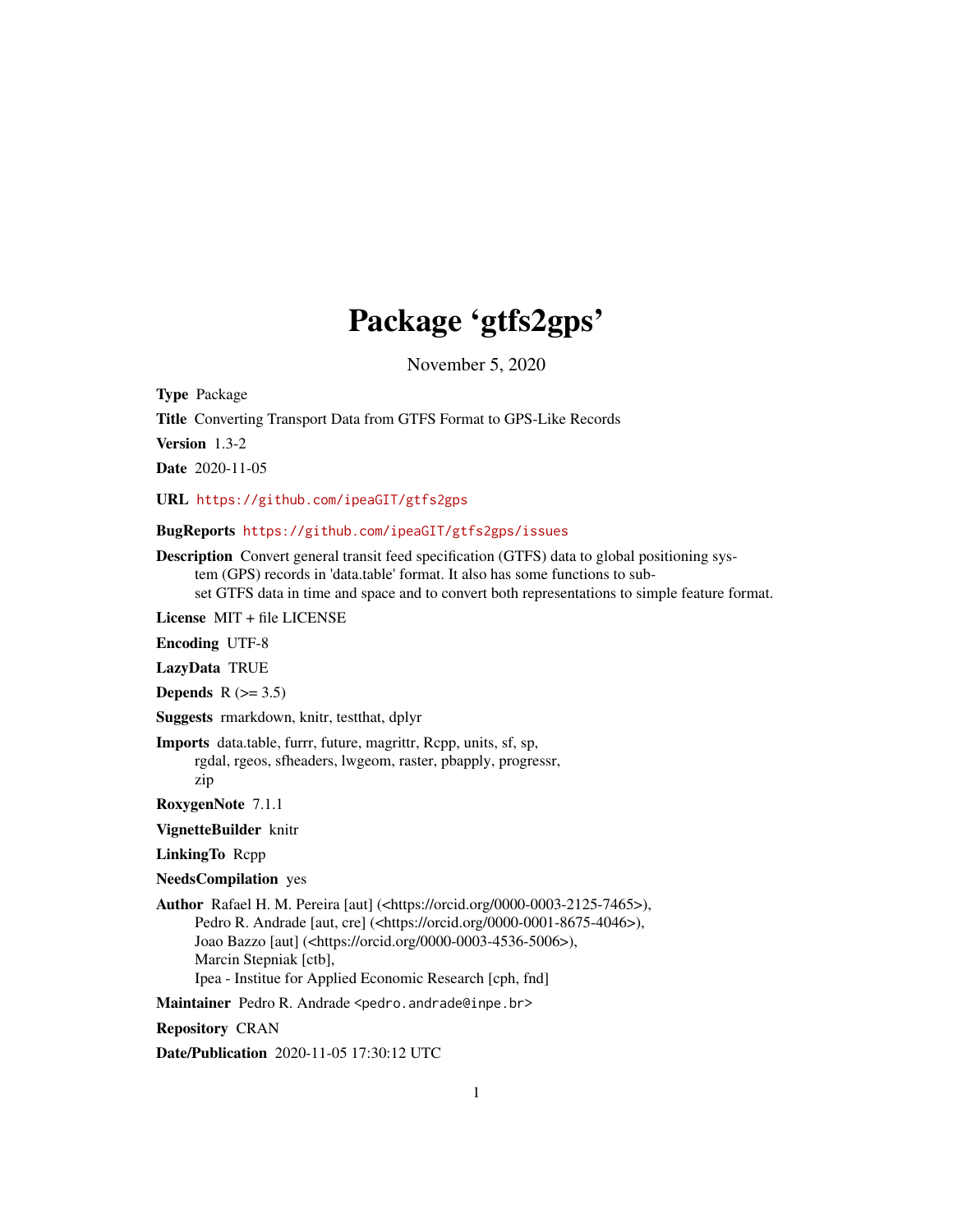# Package 'gtfs2gps'

November 5, 2020

Type Package

Title Converting Transport Data from GTFS Format to GPS-Like Records

Version 1.3-2

Date 2020-11-05

URL <https://github.com/ipeaGIT/gtfs2gps>

BugReports <https://github.com/ipeaGIT/gtfs2gps/issues>

Description Convert general transit feed specification (GTFS) data to global positioning system (GPS) records in 'data.table' format. It also has some functions to subset GTFS data in time and space and to convert both representations to simple feature format.

License MIT + file LICENSE

Encoding UTF-8

LazyData TRUE

Depends  $R$  ( $>= 3.5$ )

Suggests rmarkdown, knitr, testthat, dplyr

Imports data.table, furrr, future, magrittr, Rcpp, units, sf, sp, rgdal, rgeos, sfheaders, lwgeom, raster, pbapply, progressr,

zip

RoxygenNote 7.1.1

VignetteBuilder knitr

LinkingTo Rcpp

NeedsCompilation yes

Author Rafael H. M. Pereira [aut] (<https://orcid.org/0000-0003-2125-7465>), Pedro R. Andrade [aut, cre] (<https://orcid.org/0000-0001-8675-4046>), Joao Bazzo [aut] (<https://orcid.org/0000-0003-4536-5006>), Marcin Stepniak [ctb], Ipea - Institue for Applied Economic Research [cph, fnd]

Maintainer Pedro R. Andrade <pedro.andrade@inpe.br>

Repository CRAN

Date/Publication 2020-11-05 17:30:12 UTC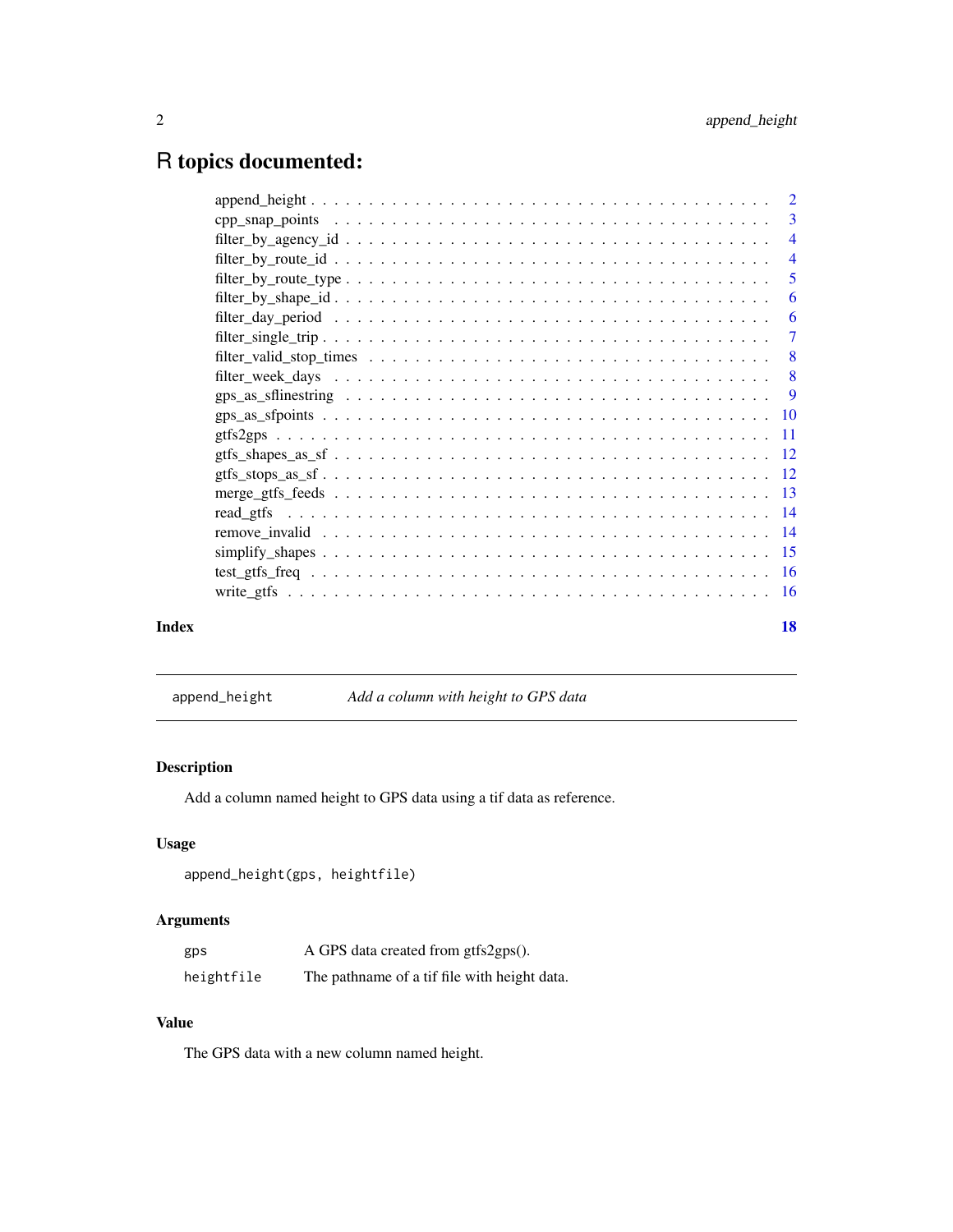# <span id="page-1-0"></span>R topics documented:

|       | $filter_by\_route\_type \dots \dots \dots \dots \dots \dots \dots \dots \dots \dots \dots \dots \dots$ | - 5       |
|-------|--------------------------------------------------------------------------------------------------------|-----------|
|       |                                                                                                        |           |
|       |                                                                                                        |           |
|       |                                                                                                        |           |
|       |                                                                                                        |           |
|       |                                                                                                        |           |
|       |                                                                                                        |           |
|       |                                                                                                        |           |
|       |                                                                                                        |           |
|       |                                                                                                        |           |
|       |                                                                                                        |           |
|       |                                                                                                        |           |
|       |                                                                                                        |           |
|       |                                                                                                        |           |
|       |                                                                                                        |           |
|       |                                                                                                        |           |
|       |                                                                                                        |           |
| Index |                                                                                                        | <b>18</b> |
|       |                                                                                                        |           |

append\_height *Add a column with height to GPS data*

# Description

Add a column named height to GPS data using a tif data as reference.

# Usage

```
append_height(gps, heightfile)
```
# Arguments

| gps        | A GPS data created from gtfs2gps().          |
|------------|----------------------------------------------|
| heightfile | The pathname of a tif file with height data. |

# Value

The GPS data with a new column named height.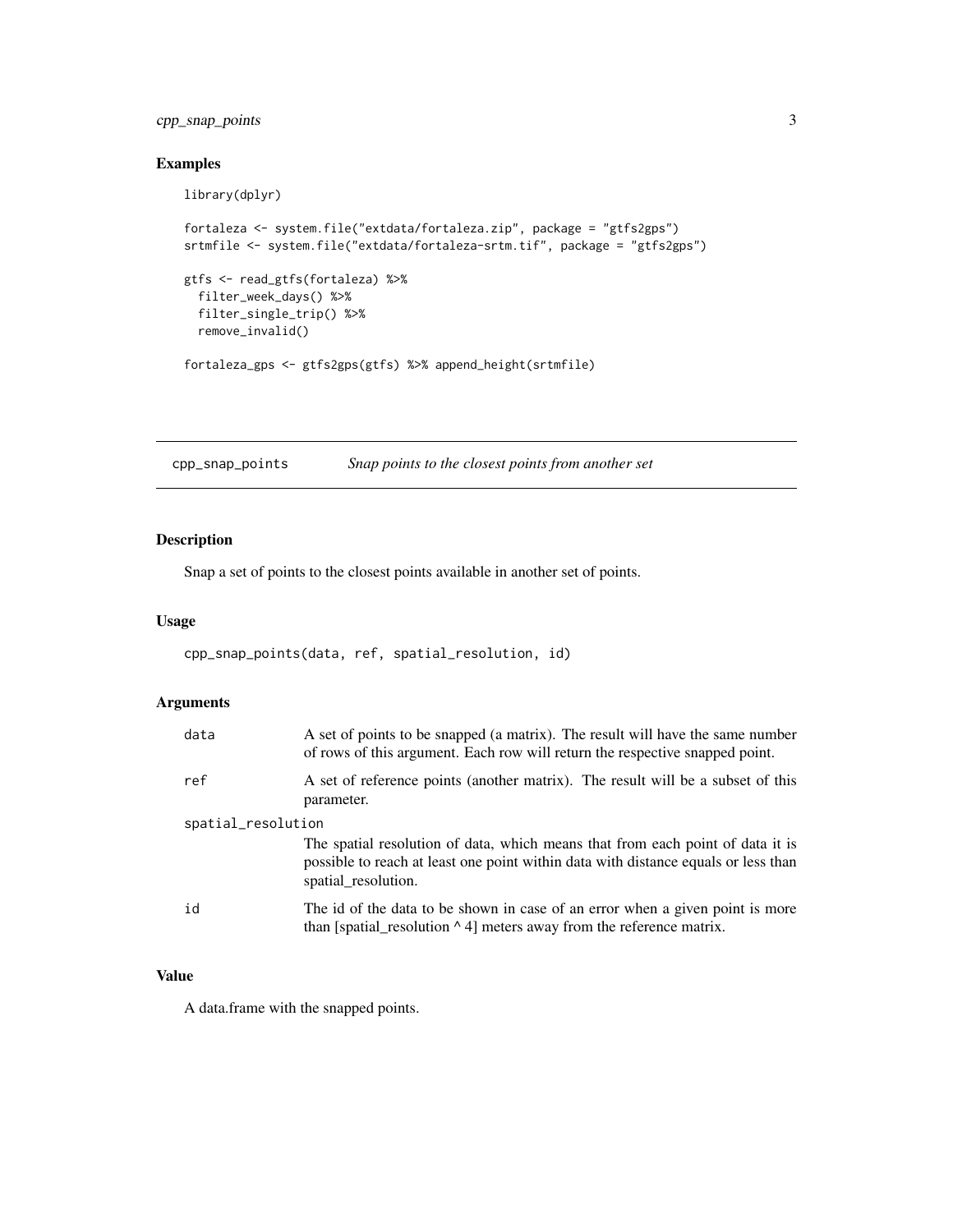# <span id="page-2-0"></span>cpp\_snap\_points 3

# Examples

library(dplyr)

```
fortaleza <- system.file("extdata/fortaleza.zip", package = "gtfs2gps")
srtmfile <- system.file("extdata/fortaleza-srtm.tif", package = "gtfs2gps")
gtfs <- read_gtfs(fortaleza) %>%
  filter_week_days() %>%
  filter_single_trip() %>%
  remove_invalid()
fortaleza_gps <- gtfs2gps(gtfs) %>% append_height(srtmfile)
```
cpp\_snap\_points *Snap points to the closest points from another set*

# Description

Snap a set of points to the closest points available in another set of points.

## Usage

```
cpp_snap_points(data, ref, spatial_resolution, id)
```
# Arguments

| data               | A set of points to be snapped (a matrix). The result will have the same number<br>of rows of this argument. Each row will return the respective snapped point.                              |
|--------------------|---------------------------------------------------------------------------------------------------------------------------------------------------------------------------------------------|
| ref                | A set of reference points (another matrix). The result will be a subset of this<br>parameter.                                                                                               |
| spatial_resolution |                                                                                                                                                                                             |
|                    | The spatial resolution of data, which means that from each point of data it is<br>possible to reach at least one point within data with distance equals or less than<br>spatial resolution. |
| id                 | The id of the data to be shown in case of an error when a given point is more<br>than [spatial_resolution $\wedge$ 4] meters away from the reference matrix.                                |

#### Value

A data.frame with the snapped points.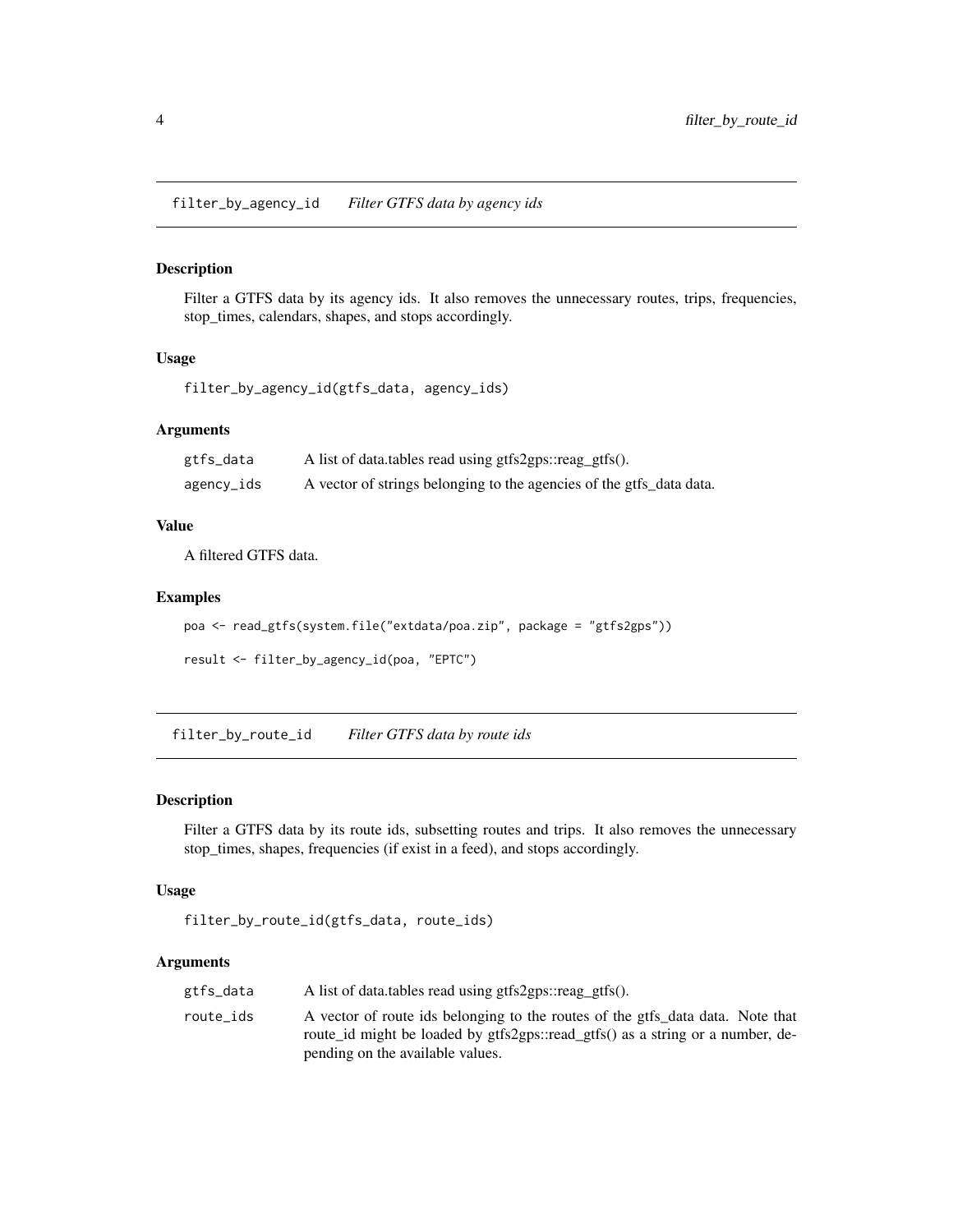<span id="page-3-0"></span>filter\_by\_agency\_id *Filter GTFS data by agency ids*

#### Description

Filter a GTFS data by its agency ids. It also removes the unnecessary routes, trips, frequencies, stop\_times, calendars, shapes, and stops accordingly.

# Usage

```
filter_by_agency_id(gtfs_data, agency_ids)
```
#### Arguments

| gtfs_data  | A list of data.tables read using gtfs2gps::reag_gtfs().              |
|------------|----------------------------------------------------------------------|
| agency_ids | A vector of strings belonging to the agencies of the gtfs_data data. |

#### Value

A filtered GTFS data.

# Examples

```
poa <- read_gtfs(system.file("extdata/poa.zip", package = "gtfs2gps"))
```

```
result <- filter_by_agency_id(poa, "EPTC")
```
filter\_by\_route\_id *Filter GTFS data by route ids*

#### Description

Filter a GTFS data by its route ids, subsetting routes and trips. It also removes the unnecessary stop\_times, shapes, frequencies (if exist in a feed), and stops accordingly.

#### Usage

```
filter_by_route_id(gtfs_data, route_ids)
```
# Arguments

| gtfs_data | A list of data.tables read using gtfs2gps::reag_gtfs().                                                                                                                                              |
|-----------|------------------------------------------------------------------------------------------------------------------------------------------------------------------------------------------------------|
| route ids | A vector of route ids belonging to the routes of the gtfs_data data. Note that<br>route id might be loaded by gtfs2gps::read_gtfs() as a string or a number, de-<br>pending on the available values. |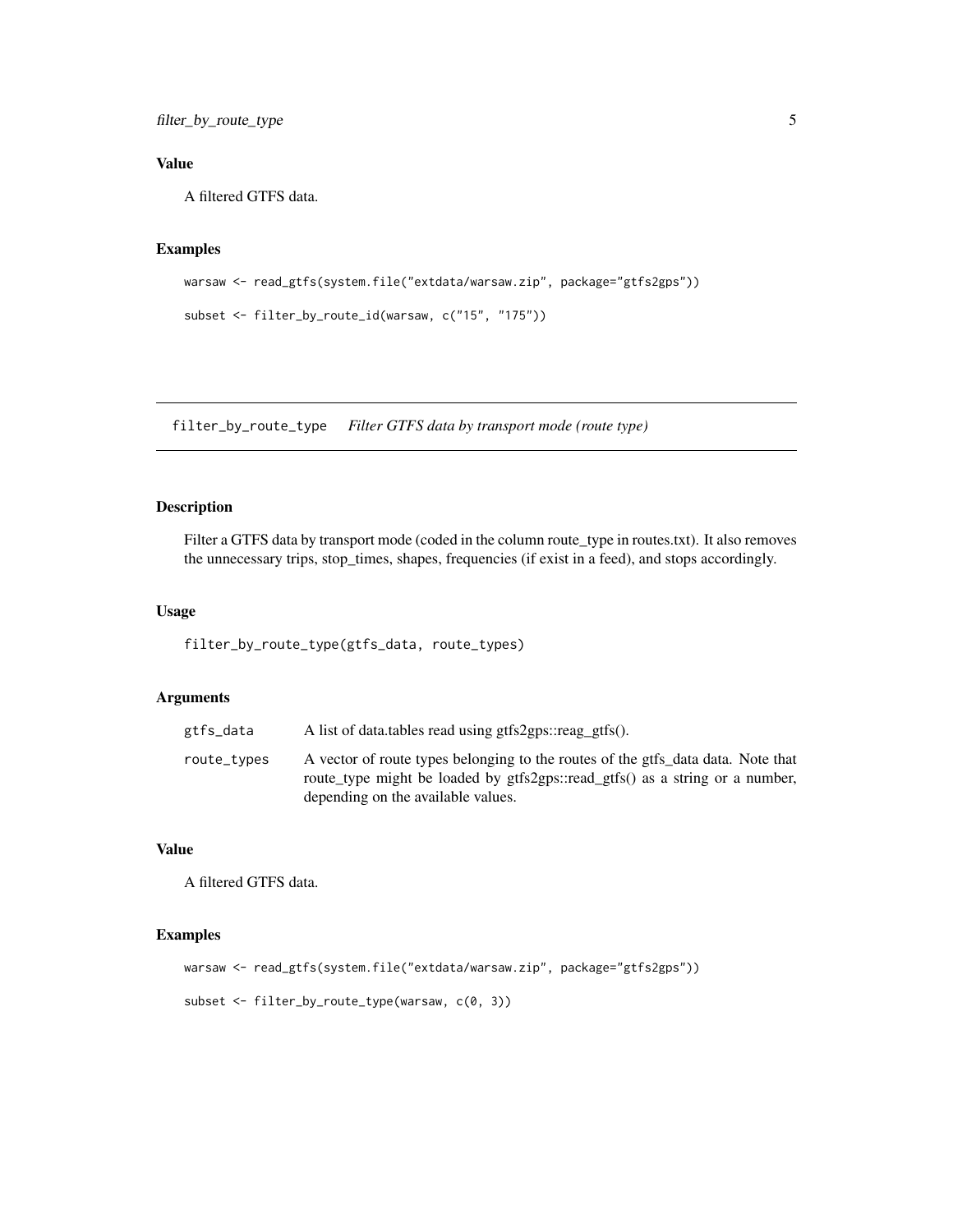# <span id="page-4-0"></span>filter\_by\_route\_type 5

# Value

A filtered GTFS data.

# Examples

```
warsaw <- read_gtfs(system.file("extdata/warsaw.zip", package="gtfs2gps"))
```

```
subset <- filter_by_route_id(warsaw, c("15", "175"))
```
filter\_by\_route\_type *Filter GTFS data by transport mode (route type)*

# Description

Filter a GTFS data by transport mode (coded in the column route\_type in routes.txt). It also removes the unnecessary trips, stop\_times, shapes, frequencies (if exist in a feed), and stops accordingly.

#### Usage

filter\_by\_route\_type(gtfs\_data, route\_types)

#### Arguments

| gtfs_data   | A list of data.tables read using gtfs2gps::reag_gtfs().                                                                                                                                                |
|-------------|--------------------------------------------------------------------------------------------------------------------------------------------------------------------------------------------------------|
| route_types | A vector of route types belonging to the routes of the gtfs_data data. Note that<br>route_type might be loaded by gtfs2gps::read_gtfs() as a string or a number,<br>depending on the available values. |

# Value

A filtered GTFS data.

```
warsaw <- read_gtfs(system.file("extdata/warsaw.zip", package="gtfs2gps"))
subset <- filter_by_route_type(warsaw, c(0, 3))
```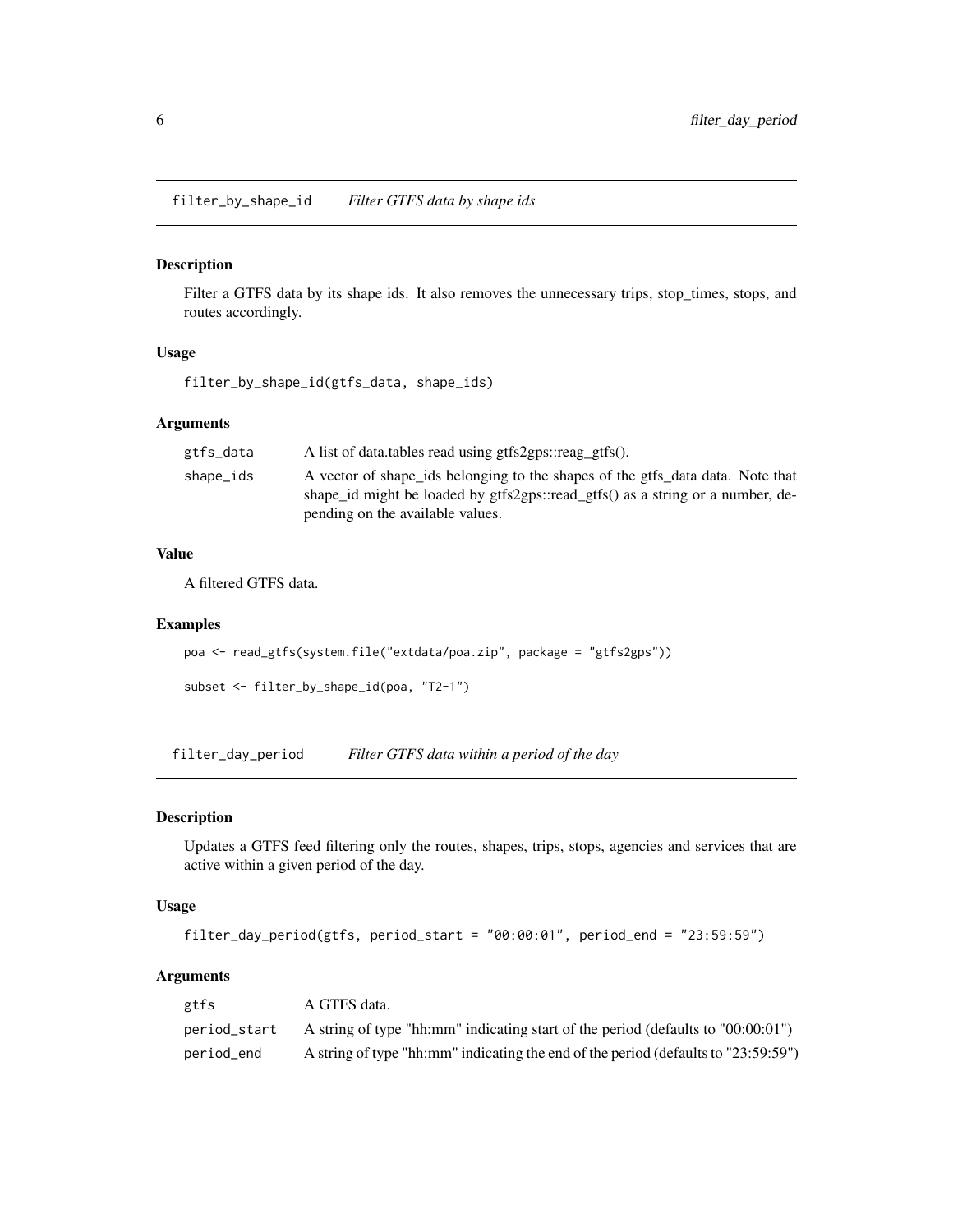<span id="page-5-0"></span>filter\_by\_shape\_id *Filter GTFS data by shape ids*

# Description

Filter a GTFS data by its shape ids. It also removes the unnecessary trips, stop\_times, stops, and routes accordingly.

#### Usage

filter\_by\_shape\_id(gtfs\_data, shape\_ids)

#### Arguments

| gtfs_data | A list of data.tables read using gtfs2gps::reag_gtfs().                        |
|-----------|--------------------------------------------------------------------------------|
| shape_ids | A vector of shape ids belonging to the shapes of the gtfs_data data. Note that |
|           | shape id might be loaded by gtfs2gps::read gtfs() as a string or a number, de- |
|           | pending on the available values.                                               |

#### Value

A filtered GTFS data.

# Examples

```
poa <- read_gtfs(system.file("extdata/poa.zip", package = "gtfs2gps"))
```

```
subset <- filter_by_shape_id(poa, "T2-1")
```
filter\_day\_period *Filter GTFS data within a period of the day*

# Description

Updates a GTFS feed filtering only the routes, shapes, trips, stops, agencies and services that are active within a given period of the day.

# Usage

```
filter_day_period(gtfs, period_start = "00:00:01", period_end = "23:59:59")
```
# Arguments

| gtfs         | A GTFS data.                                                                        |
|--------------|-------------------------------------------------------------------------------------|
| period_start | A string of type "hh:mm" indicating start of the period (defaults to $"00:00:01"$ ) |
| period_end   | A string of type "hh:mm" indicating the end of the period (defaults to "23:59:59")  |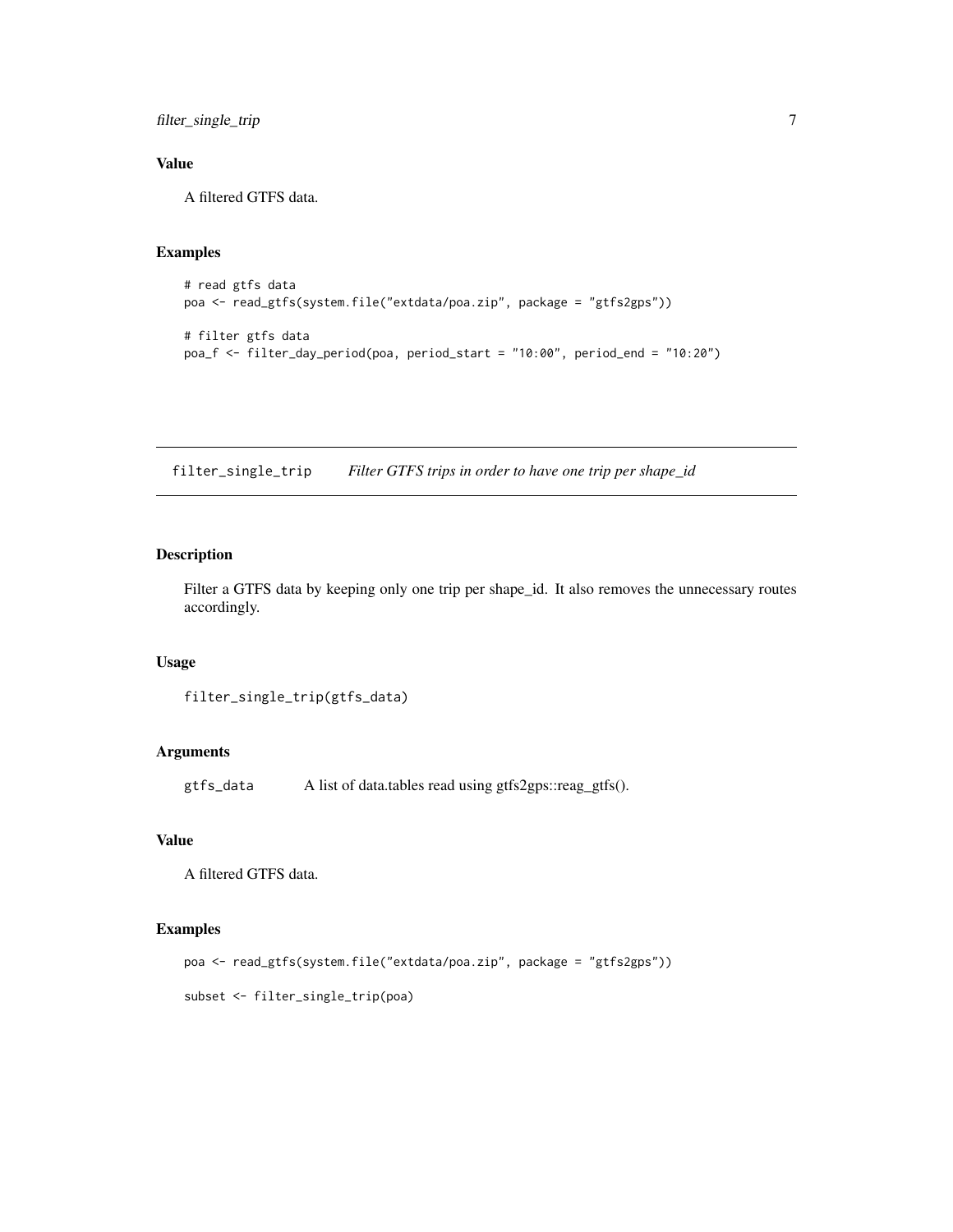<span id="page-6-0"></span>filter\_single\_trip 7

# Value

A filtered GTFS data.

# Examples

```
# read gtfs data
poa <- read_gtfs(system.file("extdata/poa.zip", package = "gtfs2gps"))
# filter gtfs data
poa_f <- filter_day_period(poa, period_start = "10:00", period_end = "10:20")
```
filter\_single\_trip *Filter GTFS trips in order to have one trip per shape\_id*

# Description

Filter a GTFS data by keeping only one trip per shape\_id. It also removes the unnecessary routes accordingly.

# Usage

```
filter_single_trip(gtfs_data)
```
# Arguments

gtfs\_data A list of data.tables read using gtfs2gps::reag\_gtfs().

# Value

A filtered GTFS data.

# Examples

```
poa <- read_gtfs(system.file("extdata/poa.zip", package = "gtfs2gps"))
```
subset <- filter\_single\_trip(poa)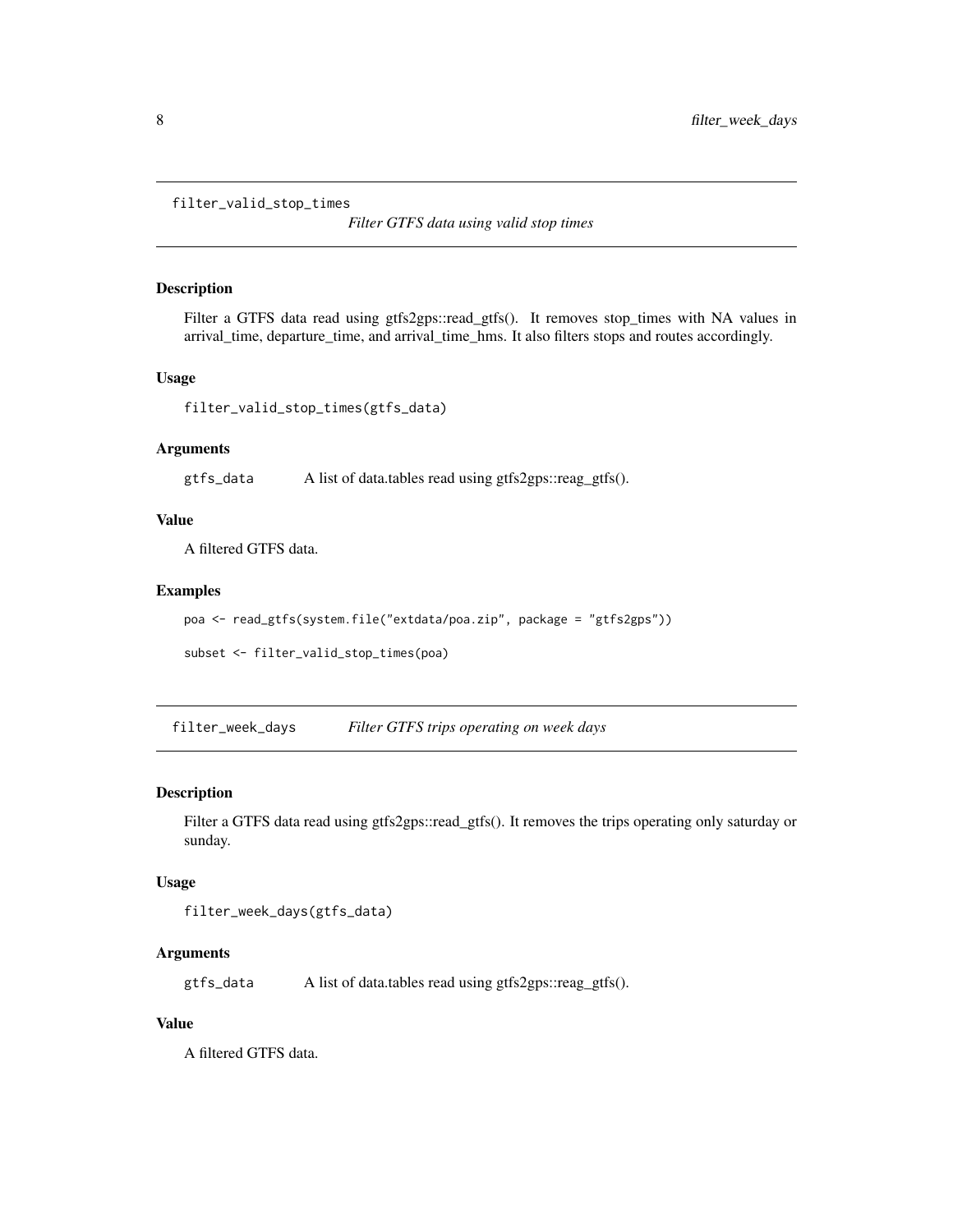```
filter_valid_stop_times
```
*Filter GTFS data using valid stop times*

#### Description

Filter a GTFS data read using gtfs2gps::read\_gtfs(). It removes stop\_times with NA values in arrival\_time, departure\_time, and arrival\_time\_hms. It also filters stops and routes accordingly.

# Usage

filter\_valid\_stop\_times(gtfs\_data)

#### Arguments

gtfs\_data A list of data.tables read using gtfs2gps::reag\_gtfs().

#### Value

A filtered GTFS data.

#### Examples

```
poa <- read_gtfs(system.file("extdata/poa.zip", package = "gtfs2gps"))
```

```
subset <- filter_valid_stop_times(poa)
```
filter\_week\_days *Filter GTFS trips operating on week days*

#### Description

Filter a GTFS data read using gtfs2gps::read\_gtfs(). It removes the trips operating only saturday or sunday.

#### Usage

```
filter_week_days(gtfs_data)
```
# Arguments

gtfs\_data A list of data.tables read using gtfs2gps::reag\_gtfs().

# Value

A filtered GTFS data.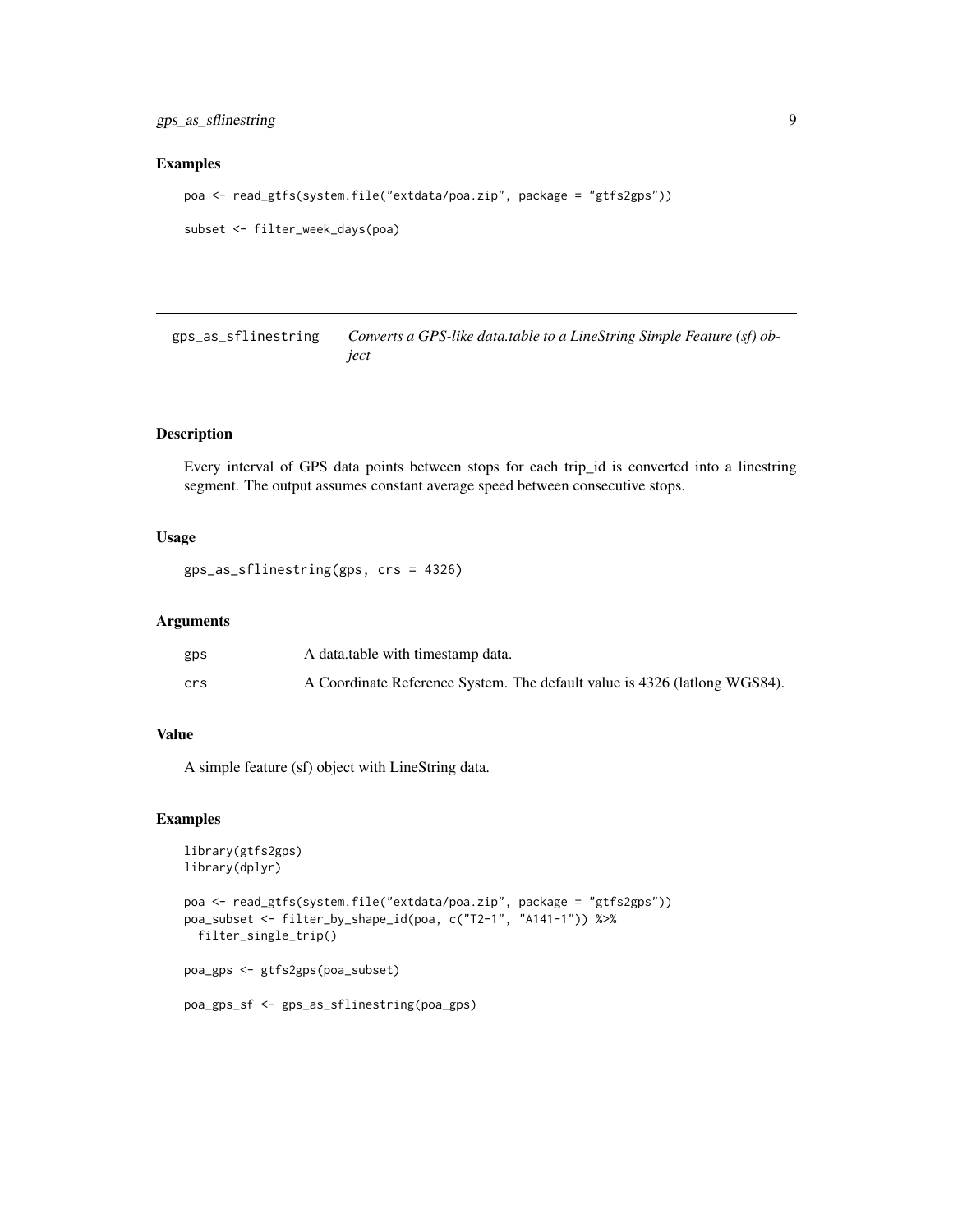#### <span id="page-8-0"></span>Examples

```
poa <- read_gtfs(system.file("extdata/poa.zip", package = "gtfs2gps"))
```
subset <- filter\_week\_days(poa)

gps\_as\_sflinestring *Converts a GPS-like data.table to a LineString Simple Feature (sf) object*

#### Description

Every interval of GPS data points between stops for each trip\_id is converted into a linestring segment. The output assumes constant average speed between consecutive stops.

#### Usage

```
gps_as_sflinestring(gps, crs = 4326)
```
# Arguments

| gps | A data table with timestamp data.                                         |
|-----|---------------------------------------------------------------------------|
| crs | A Coordinate Reference System. The default value is 4326 (lationg WGS84). |

# Value

A simple feature (sf) object with LineString data.

```
library(gtfs2gps)
library(dplyr)
poa <- read_gtfs(system.file("extdata/poa.zip", package = "gtfs2gps"))
poa_subset <- filter_by_shape_id(poa, c("T2-1", "A141-1")) %>%
  filter_single_trip()
poa_gps <- gtfs2gps(poa_subset)
poa_gps_sf <- gps_as_sflinestring(poa_gps)
```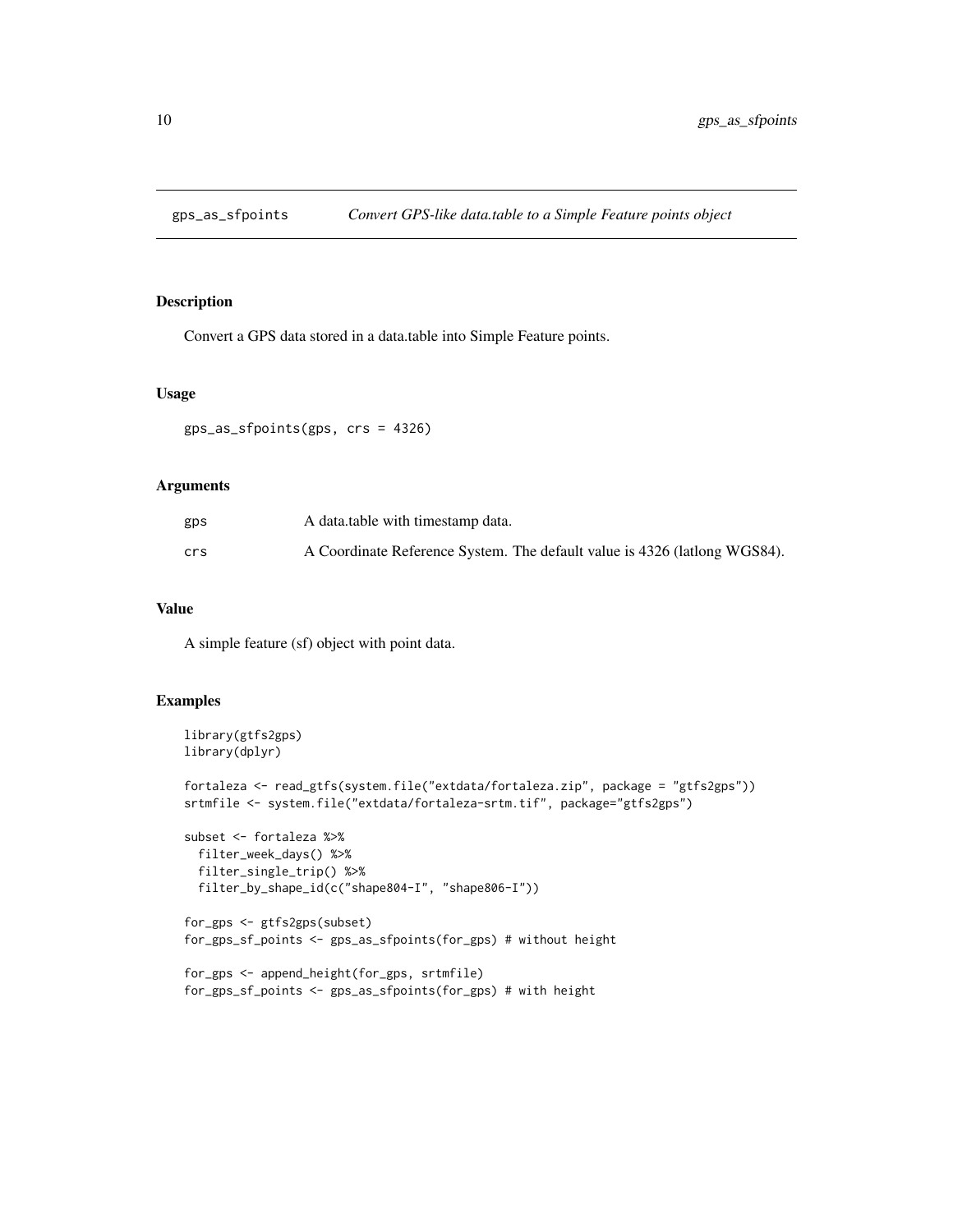<span id="page-9-0"></span>

Convert a GPS data stored in a data.table into Simple Feature points.

#### Usage

gps\_as\_sfpoints(gps, crs = 4326)

# Arguments

| gps | A data table with timestamp data.                                         |
|-----|---------------------------------------------------------------------------|
| crs | A Coordinate Reference System. The default value is 4326 (lationg WGS84). |

# Value

A simple feature (sf) object with point data.

```
library(gtfs2gps)
library(dplyr)
fortaleza <- read_gtfs(system.file("extdata/fortaleza.zip", package = "gtfs2gps"))
srtmfile <- system.file("extdata/fortaleza-srtm.tif", package="gtfs2gps")
subset <- fortaleza %>%
  filter_week_days() %>%
  filter_single_trip() %>%
  filter_by_shape_id(c("shape804-I", "shape806-I"))
for_gps <- gtfs2gps(subset)
for_gps_sf_points <- gps_as_sfpoints(for_gps) # without height
for_gps <- append_height(for_gps, srtmfile)
for_gps_sf_points <- gps_as_sfpoints(for_gps) # with height
```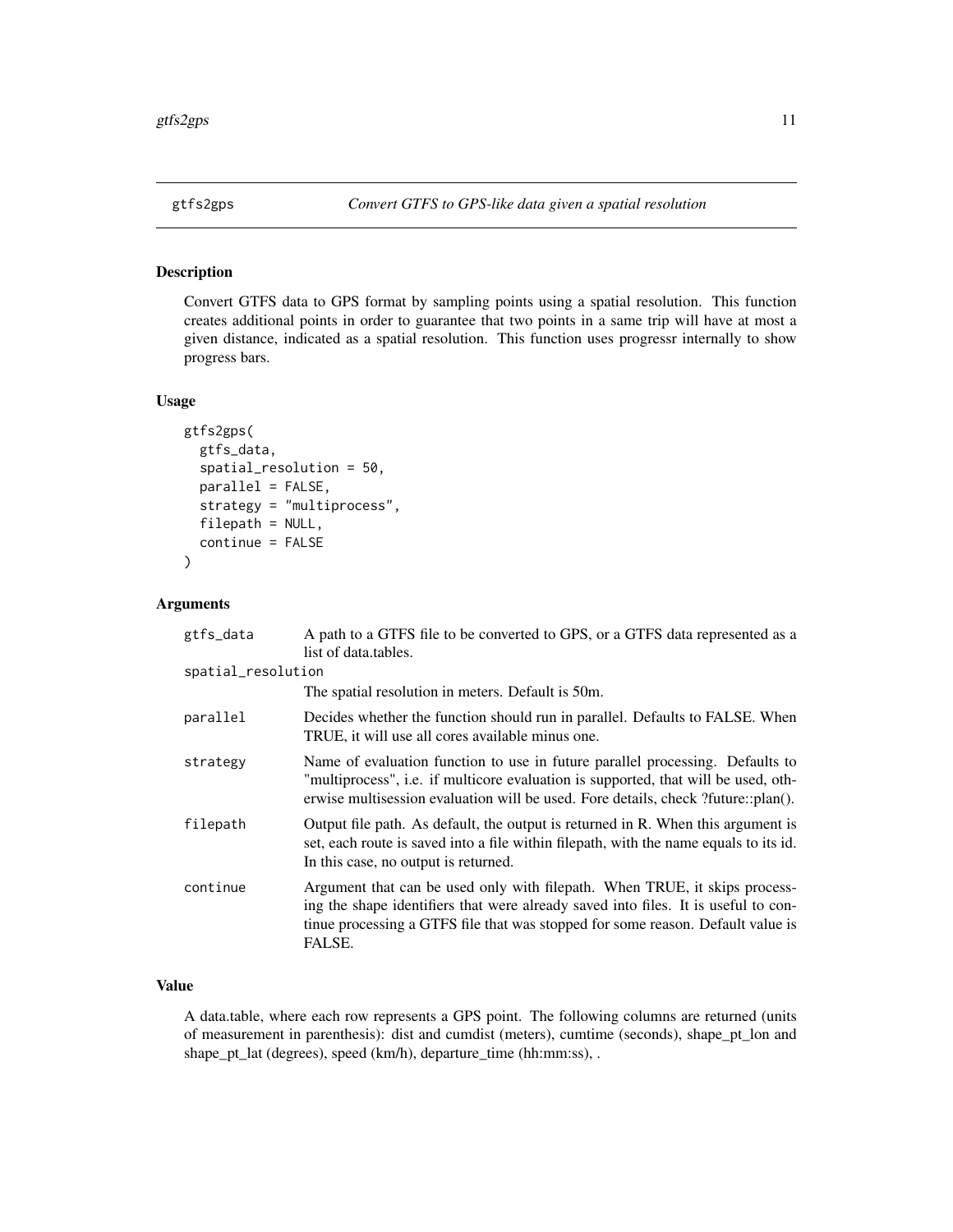<span id="page-10-0"></span>

Convert GTFS data to GPS format by sampling points using a spatial resolution. This function creates additional points in order to guarantee that two points in a same trip will have at most a given distance, indicated as a spatial resolution. This function uses progressr internally to show progress bars.

# Usage

```
gtfs2gps(
  gtfs_data,
  spatial_resolution = 50,
  parallel = FALSE,
  strategy = "multiprocess",
  filepath = NULL,
  continue = FALSE
)
```
# Arguments

| gtfs_data          | A path to a GTFS file to be converted to GPS, or a GTFS data represented as a<br>list of data.tables.                                                                                                                                                         |
|--------------------|---------------------------------------------------------------------------------------------------------------------------------------------------------------------------------------------------------------------------------------------------------------|
| spatial_resolution |                                                                                                                                                                                                                                                               |
|                    | The spatial resolution in meters. Default is 50m.                                                                                                                                                                                                             |
| parallel           | Decides whether the function should run in parallel. Defaults to FALSE. When<br>TRUE, it will use all cores available minus one.                                                                                                                              |
| strategy           | Name of evaluation function to use in future parallel processing. Defaults to<br>"multiprocess", i.e. if multicore evaluation is supported, that will be used, oth-<br>erwise multisession evaluation will be used. Fore details, check ?future::plan().      |
| filepath           | Output file path. As default, the output is returned in R. When this argument is<br>set, each route is saved into a file within filepath, with the name equals to its id.<br>In this case, no output is returned.                                             |
| continue           | Argument that can be used only with filepath. When TRUE, it skips process-<br>ing the shape identifiers that were already saved into files. It is useful to con-<br>tinue processing a GTFS file that was stopped for some reason. Default value is<br>FALSE. |

# Value

A data.table, where each row represents a GPS point. The following columns are returned (units of measurement in parenthesis): dist and cumdist (meters), cumtime (seconds), shape\_pt\_lon and shape\_pt\_lat (degrees), speed (km/h), departure\_time (hh:mm:ss), .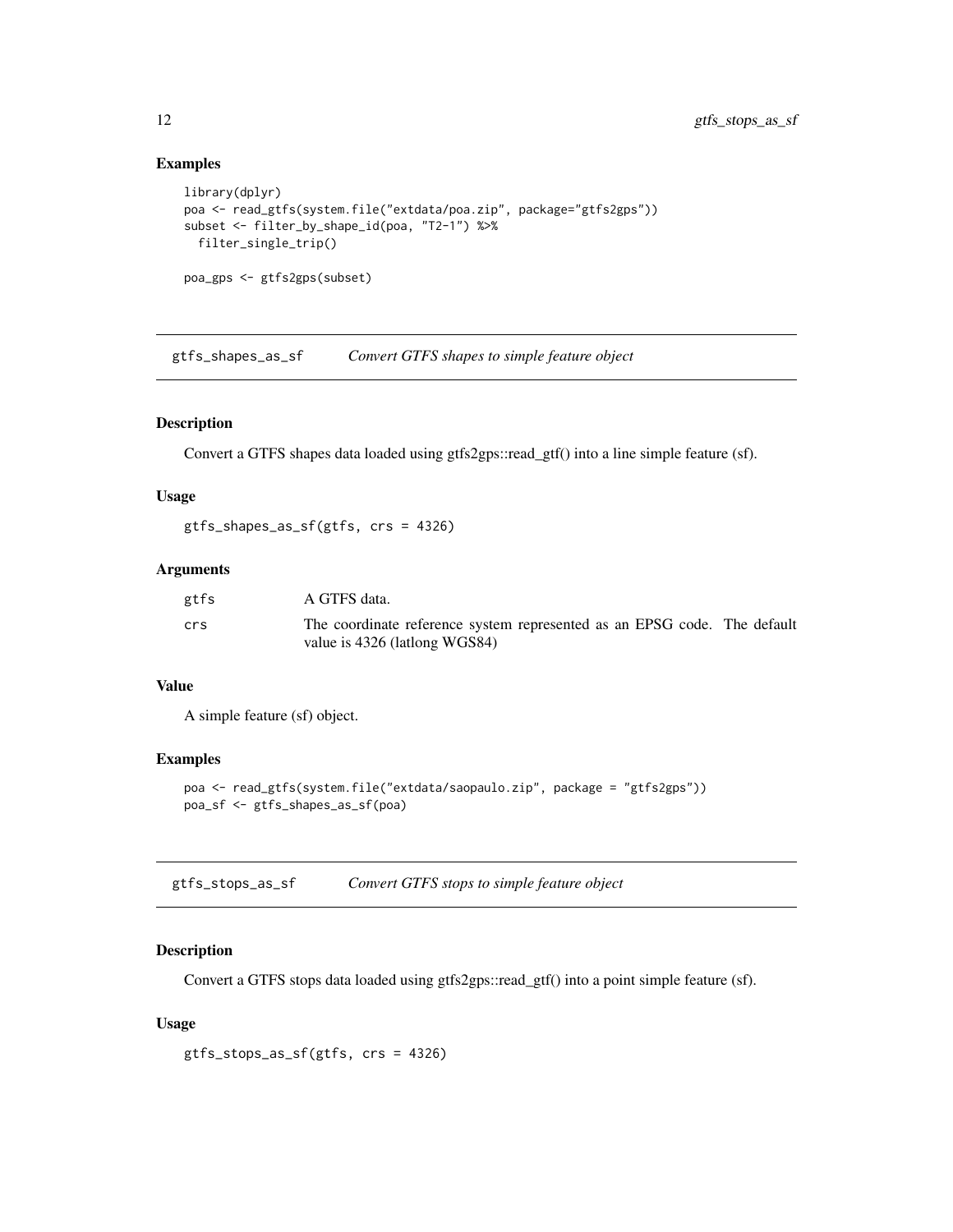#### <span id="page-11-0"></span>Examples

```
library(dplyr)
poa <- read_gtfs(system.file("extdata/poa.zip", package="gtfs2gps"))
subset <- filter_by_shape_id(poa, "T2-1") %>%
 filter_single_trip()
poa_gps <- gtfs2gps(subset)
```
gtfs\_shapes\_as\_sf *Convert GTFS shapes to simple feature object*

#### Description

Convert a GTFS shapes data loaded using gtfs2gps::read\_gtf() into a line simple feature (sf).

#### Usage

gtfs\_shapes\_as\_sf(gtfs, crs = 4326)

#### Arguments

| gtfs | A GTFS data.                                                                                              |  |
|------|-----------------------------------------------------------------------------------------------------------|--|
| crs  | The coordinate reference system represented as an EPSG code. The default<br>value is 4326 (lationg WGS84) |  |

# Value

A simple feature (sf) object.

#### Examples

```
poa <- read_gtfs(system.file("extdata/saopaulo.zip", package = "gtfs2gps"))
poa_sf <- gtfs_shapes_as_sf(poa)
```

| gtfs_stops_as_sf | Convert GTFS stops to simple feature object |  |  |
|------------------|---------------------------------------------|--|--|
|------------------|---------------------------------------------|--|--|

# Description

Convert a GTFS stops data loaded using gtfs2gps::read\_gtf() into a point simple feature (sf).

# Usage

gtfs\_stops\_as\_sf(gtfs, crs = 4326)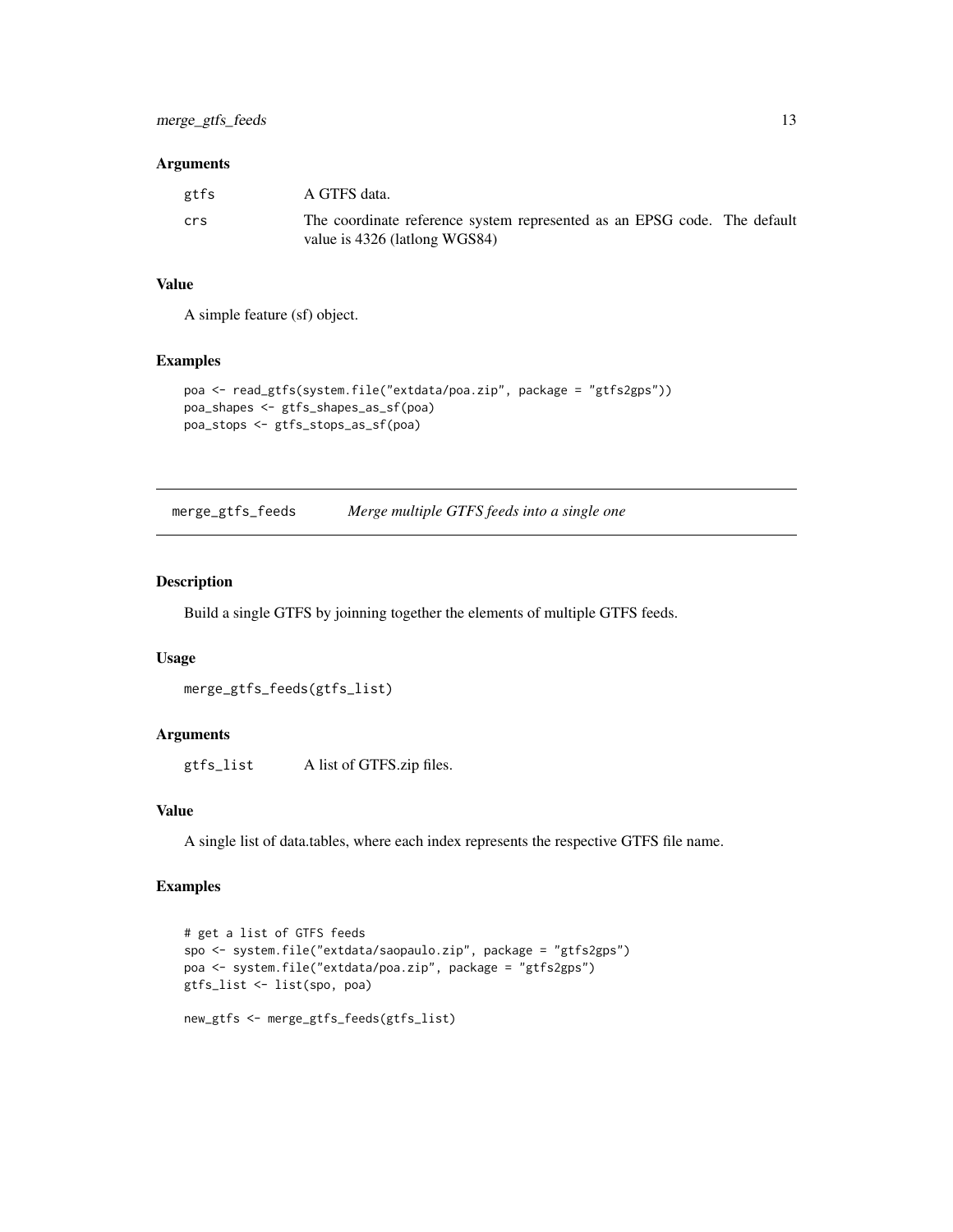#### <span id="page-12-0"></span>Arguments

| gtfs | A GTFS data.                                                                                              |
|------|-----------------------------------------------------------------------------------------------------------|
| crs  | The coordinate reference system represented as an EPSG code. The default<br>value is 4326 (lationg WGS84) |

# Value

A simple feature (sf) object.

#### Examples

```
poa <- read_gtfs(system.file("extdata/poa.zip", package = "gtfs2gps"))
poa_shapes <- gtfs_shapes_as_sf(poa)
poa_stops <- gtfs_stops_as_sf(poa)
```
merge\_gtfs\_feeds *Merge multiple GTFS feeds into a single one*

# Description

Build a single GTFS by joinning together the elements of multiple GTFS feeds.

### Usage

```
merge_gtfs_feeds(gtfs_list)
```
# Arguments

gtfs\_list A list of GTFS.zip files.

### Value

A single list of data.tables, where each index represents the respective GTFS file name.

```
# get a list of GTFS feeds
spo <- system.file("extdata/saopaulo.zip", package = "gtfs2gps")
poa <- system.file("extdata/poa.zip", package = "gtfs2gps")
gtfs_list <- list(spo, poa)
new_gtfs <- merge_gtfs_feeds(gtfs_list)
```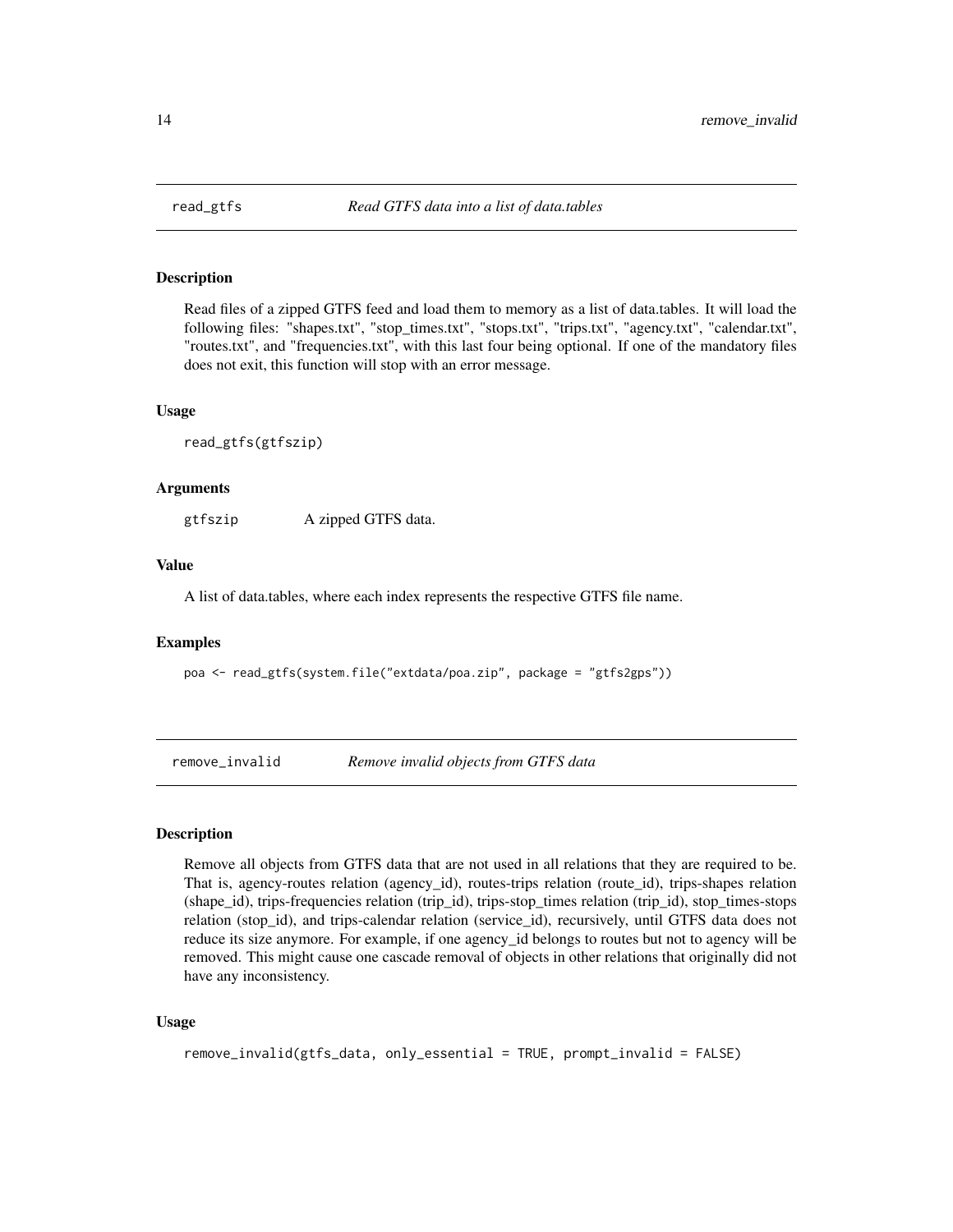<span id="page-13-0"></span>

Read files of a zipped GTFS feed and load them to memory as a list of data.tables. It will load the following files: "shapes.txt", "stop\_times.txt", "stops.txt", "trips.txt", "agency.txt", "calendar.txt", "routes.txt", and "frequencies.txt", with this last four being optional. If one of the mandatory files does not exit, this function will stop with an error message.

#### Usage

read\_gtfs(gtfszip)

#### Arguments

gtfszip A zipped GTFS data.

#### Value

A list of data.tables, where each index represents the respective GTFS file name.

#### Examples

poa <- read\_gtfs(system.file("extdata/poa.zip", package = "gtfs2gps"))

remove\_invalid *Remove invalid objects from GTFS data*

# Description

Remove all objects from GTFS data that are not used in all relations that they are required to be. That is, agency-routes relation (agency\_id), routes-trips relation (route\_id), trips-shapes relation (shape\_id), trips-frequencies relation (trip\_id), trips-stop\_times relation (trip\_id), stop\_times-stops relation (stop\_id), and trips-calendar relation (service\_id), recursively, until GTFS data does not reduce its size anymore. For example, if one agency\_id belongs to routes but not to agency will be removed. This might cause one cascade removal of objects in other relations that originally did not have any inconsistency.

#### Usage

```
remove_invalid(gtfs_data, only_essential = TRUE, prompt_invalid = FALSE)
```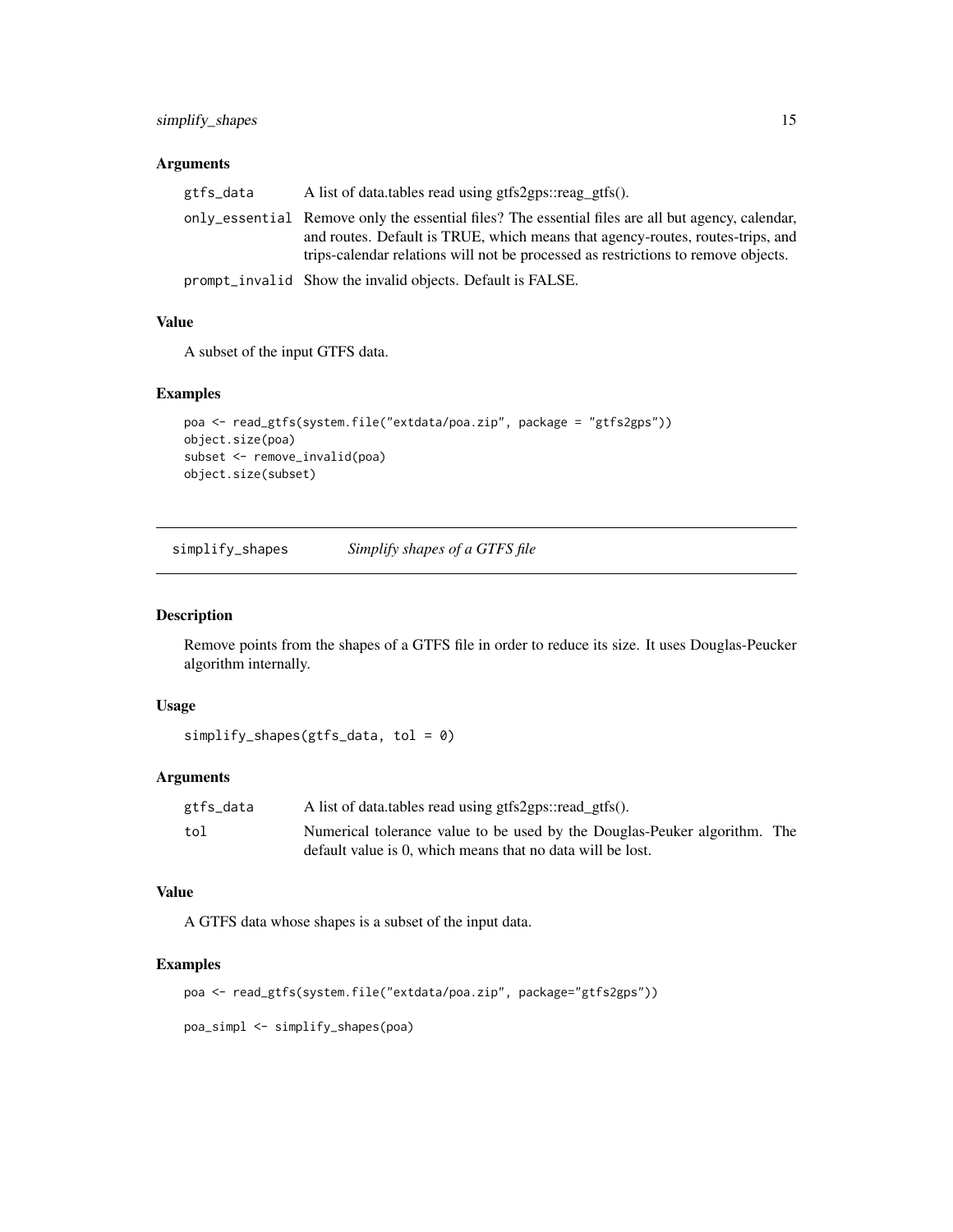# <span id="page-14-0"></span>Arguments

| gtfs_data | A list of data.tables read using gtfs2gps::reag_gtfs().                                           |
|-----------|---------------------------------------------------------------------------------------------------|
|           | only_essential Remove only the essential files? The essential files are all but agency, calendar, |
|           | and routes. Default is TRUE, which means that agency-routes, routes-trips, and                    |
|           | trips-calendar relations will not be processed as restrictions to remove objects.                 |
|           |                                                                                                   |

prompt\_invalid Show the invalid objects. Default is FALSE.

# Value

A subset of the input GTFS data.

# Examples

```
poa <- read_gtfs(system.file("extdata/poa.zip", package = "gtfs2gps"))
object.size(poa)
subset <- remove_invalid(poa)
object.size(subset)
```
simplify\_shapes *Simplify shapes of a GTFS file*

# Description

Remove points from the shapes of a GTFS file in order to reduce its size. It uses Douglas-Peucker algorithm internally.

#### Usage

```
simplify_shapes(gtfs_data, tol = 0)
```
# Arguments

| gtfs_data | A list of data.tables read using gtfs2gps::read_gtfs().                   |  |
|-----------|---------------------------------------------------------------------------|--|
| tol       | Numerical tolerance value to be used by the Douglas-Peuker algorithm. The |  |
|           | default value is 0, which means that no data will be lost.                |  |

#### Value

A GTFS data whose shapes is a subset of the input data.

```
poa <- read_gtfs(system.file("extdata/poa.zip", package="gtfs2gps"))
```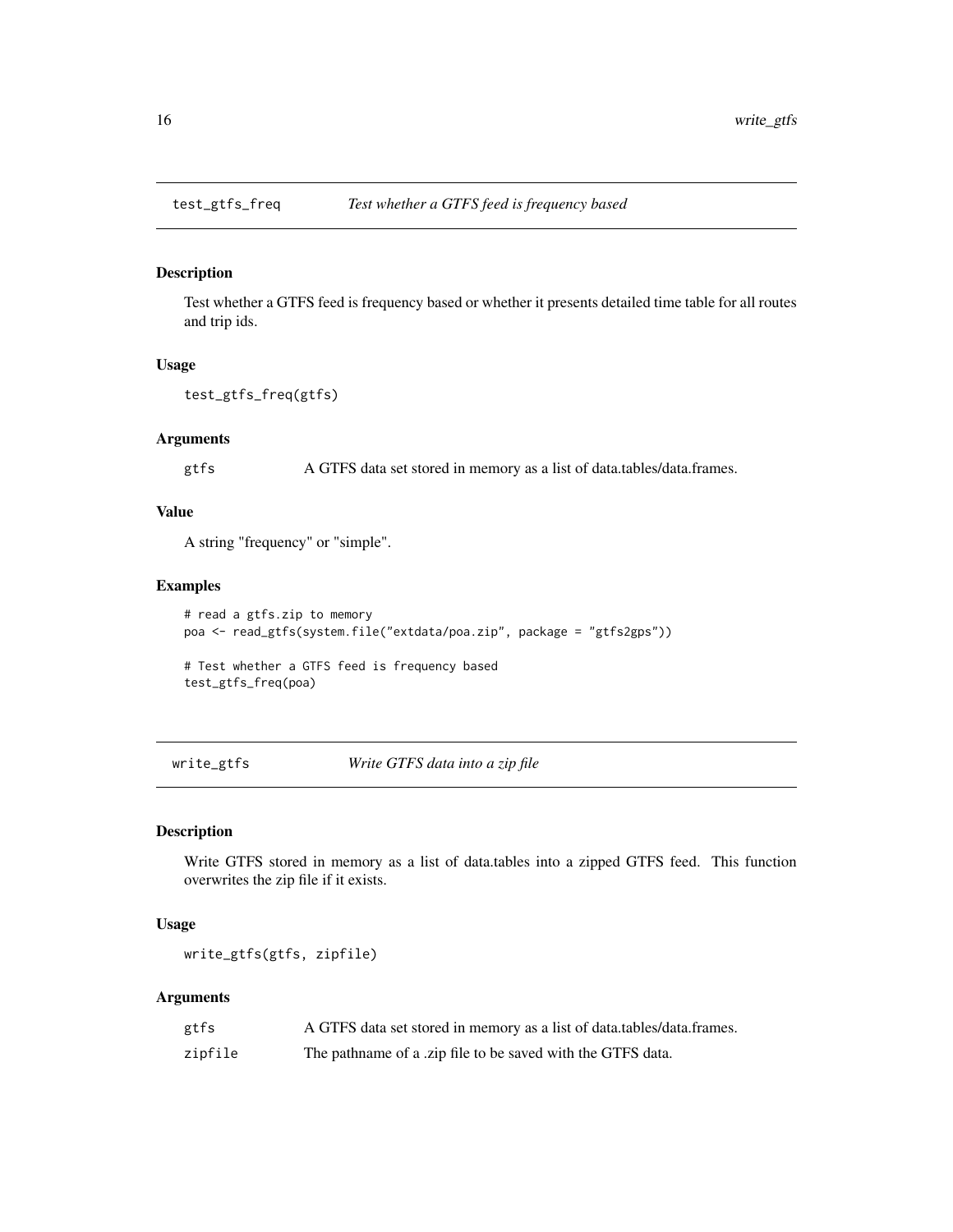<span id="page-15-0"></span>

Test whether a GTFS feed is frequency based or whether it presents detailed time table for all routes and trip ids.

#### Usage

```
test_gtfs_freq(gtfs)
```
### Arguments

gtfs A GTFS data set stored in memory as a list of data.tables/data.frames.

# Value

A string "frequency" or "simple".

#### Examples

```
# read a gtfs.zip to memory
poa <- read_gtfs(system.file("extdata/poa.zip", package = "gtfs2gps"))
```
# Test whether a GTFS feed is frequency based test\_gtfs\_freq(poa)

write\_gtfs *Write GTFS data into a zip file*

# Description

Write GTFS stored in memory as a list of data.tables into a zipped GTFS feed. This function overwrites the zip file if it exists.

#### Usage

write\_gtfs(gtfs, zipfile)

#### Arguments

| gtfs    | A GTFS data set stored in memory as a list of data.tables/data.frames. |
|---------|------------------------------------------------------------------------|
| zipfile | The pathname of a .zip file to be saved with the GTFS data.            |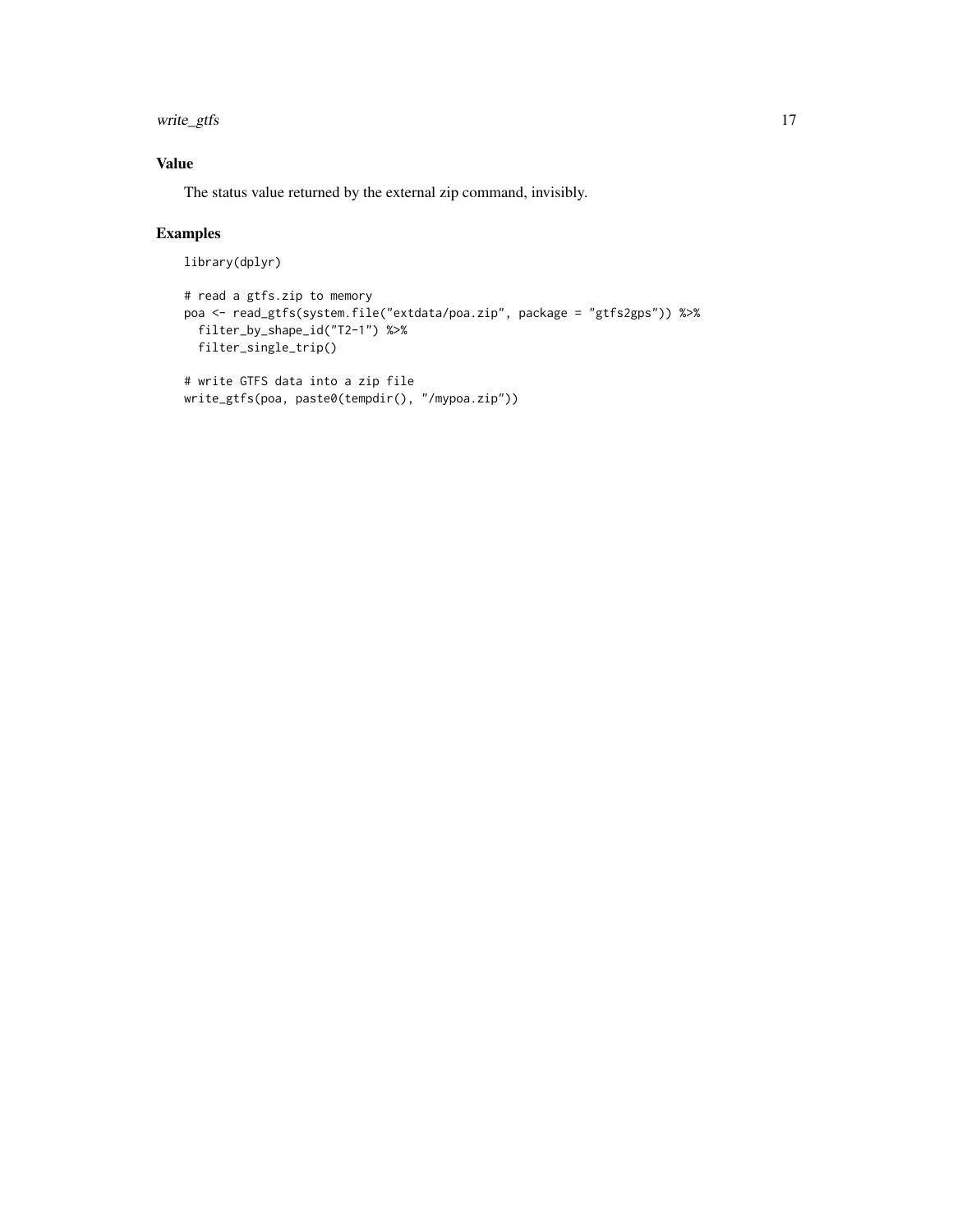write\_gtfs 17

# Value

The status value returned by the external zip command, invisibly.

write\_gtfs(poa, paste0(tempdir(), "/mypoa.zip"))

```
library(dplyr)
```

```
# read a gtfs.zip to memory
poa <- read_gtfs(system.file("extdata/poa.zip", package = "gtfs2gps")) %>%
  filter_by_shape_id("T2-1") %>%
  filter_single_trip()
# write GTFS data into a zip file
```